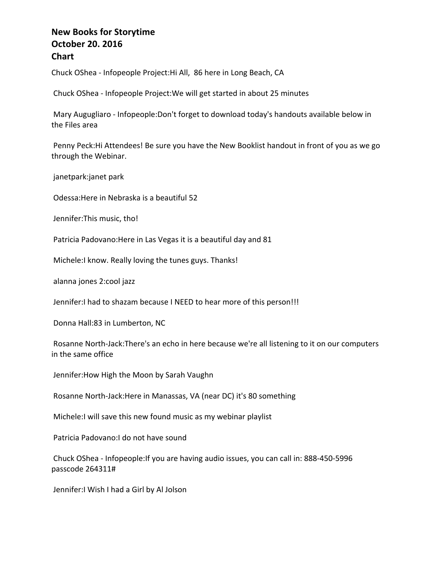Chuck OShea - Infopeople Project: Hi All, 86 here in Long Beach, CA

Chuck OShea - Infopeople Project: We will get started in about 25 minutes

Mary Augugliaro - Infopeople: Don't forget to download today's handouts available below in the Files area

Penny Peck:Hi Attendees! Be sure you have the New Booklist handout in front of you as we go through the Webinar.

janetpark:janet park

Odessa: Here in Nebraska is a beautiful 52

Jennifer: This music, tho!

Patricia Padovano: Here in Las Vegas it is a beautiful day and 81

Michele:I know. Really loving the tunes guys. Thanks!

alanna jones 2:cool jazz

Jennifer: I had to shazam because I NEED to hear more of this person!!!

Donna Hall:83 in Lumberton, NC

Rosanne North-Jack:There's an echo in here because we're all listening to it on our computers in the same office

Jennifer: How High the Moon by Sarah Vaughn

Rosanne North-Jack: Here in Manassas, VA (near DC) it's 80 something

Michele:I will save this new found music as my webinar playlist

Patricia Padovano:I do not have sound

Chuck OShea - Infopeople: If you are having audio issues, you can call in: 888-450-5996 passcode 264311#

Jennifer: I Wish I had a Girl by Al Jolson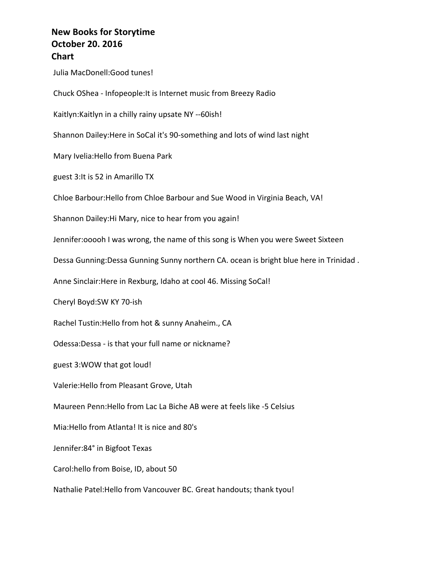Julia MacDonell: Good tunes! Chuck OShea - Infopeople: It is Internet music from Breezy Radio Kaitlyn: Kaitlyn in a chilly rainy upsate NY --60ish! Shannon Dailey: Here in SoCal it's 90-something and lots of wind last night Mary Ivelia: Hello from Buena Park guest 3: It is 52 in Amarillo TX Chloe Barbour: Hello from Chloe Barbour and Sue Wood in Virginia Beach, VA! Shannon Dailey: Hi Mary, nice to hear from you again! Jennifer:0000h I was wrong, the name of this song is When you were Sweet Sixteen Dessa Gunning:Dessa Gunning Sunny northern CA. ocean is bright blue here in Trinidad. Anne Sinclair: Here in Rexburg, Idaho at cool 46. Missing SoCal! Cheryl Boyd:SW KY 70-ish Rachel Tustin: Hello from hot & sunny Anaheim., CA Odessa:Dessa - is that your full name or nickname? guest 3:WOW that got loud! Valerie: Hello from Pleasant Grove, Utah Maureen Penn: Hello from Lac La Biche AB were at feels like -5 Celsius Mia: Hello from Atlanta! It is nice and 80's Jennifer:84° in Bigfoot Texas Carol:hello from Boise, ID, about 50 Nathalie Patel:Hello from Vancouver BC. Great handouts; thank tyou!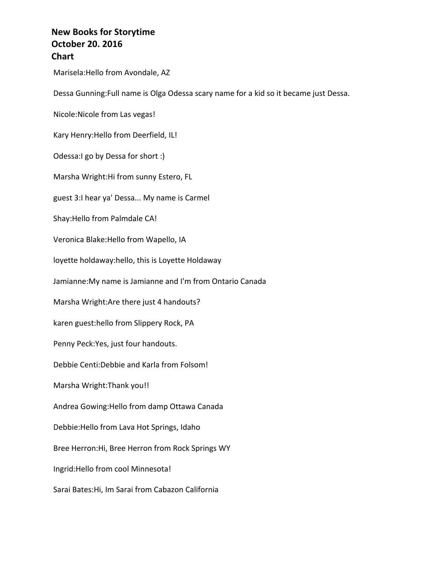Marisela: Hello from Avondale, AZ

Dessa Gunning:Full name is Olga Odessa scary name for a kid so it became just Dessa.

Nicole: Nicole from Las vegas!

Kary Henry: Hello from Deerfield, IL!

Odessa:I go by Dessa for short :)

Marsha Wright: Hi from sunny Estero, FL

guest 3:I hear ya' Dessa... My name is Carmel

Shay: Hello from Palmdale CA!

Veronica Blake: Hello from Wapello, IA

loyette holdaway:hello, this is Loyette Holdaway

Jamianne: My name is Jamianne and I'm from Ontario Canada

Marsha Wright: Are there just 4 handouts?

karen guest:hello from Slippery Rock, PA

Penny Peck: Yes, just four handouts.

Debbie Centi:Debbie and Karla from Folsom!

Marsha Wright: Thank you!!

Andrea Gowing: Hello from damp Ottawa Canada

Debbie: Hello from Lava Hot Springs, Idaho

Bree Herron: Hi, Bree Herron from Rock Springs WY

Ingrid: Hello from cool Minnesota!

Sarai Bates: Hi, Im Sarai from Cabazon California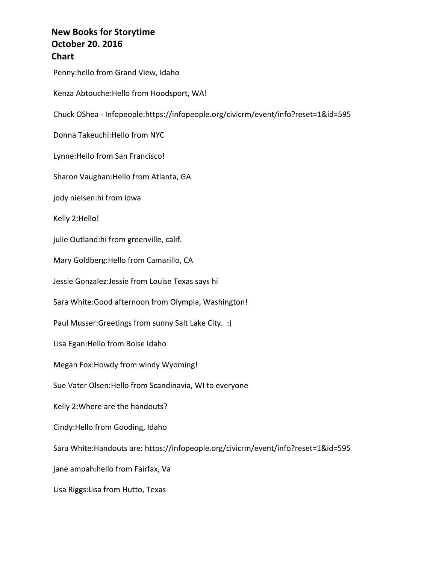Penny:hello from Grand View, Idaho Kenza Abtouche: Hello from Hoodsport, WA! Chuck OShea - Infopeople:https://infopeople.org/civicrm/event/info?reset=1&id=595 Donna Takeuchi: Hello from NYC Lynne: Hello from San Francisco! Sharon Vaughan: Hello from Atlanta, GA jody nielsen:hi from iowa Kelly 2:Hello! julie Outland:hi from greenville, calif. Mary Goldberg: Hello from Camarillo, CA Jessie Gonzalez: Jessie from Louise Texas says hi Sara White:Good afternoon from Olympia, Washington! Paul Musser:Greetings from sunny Salt Lake City. :) Lisa Egan: Hello from Boise Idaho Megan Fox:Howdy from windy Wyoming! Sue Vater Olsen: Hello from Scandinavia, WI to everyone Kelly 2: Where are the handouts? Cindy: Hello from Gooding, Idaho Sara White:Handouts are: https://infopeople.org/civicrm/event/info?reset=1&id=595 jane ampah:hello from Fairfax, Va Lisa Riggs: Lisa from Hutto, Texas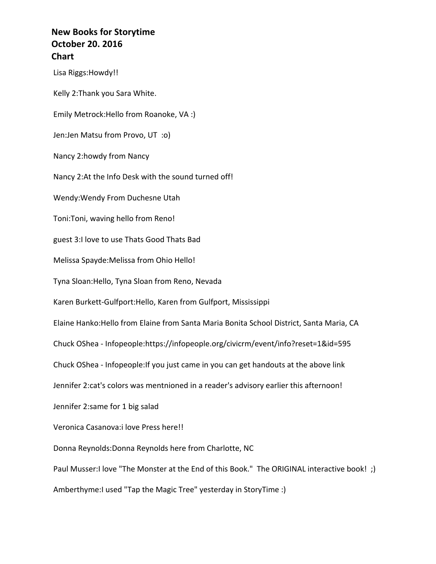Lisa Riggs: Howdy!! Kelly 2:Thank you Sara White. Emily Metrock: Hello from Roanoke, VA :) Jen:Jen Matsu from Provo, UT :o) Nancy 2:howdy from Nancy Nancy 2:At the Info Desk with the sound turned off! Wendy: Wendy From Duchesne Utah Toni: Toni, waving hello from Reno! guest 3:I love to use Thats Good Thats Bad Melissa Spayde: Melissa from Ohio Hello! Tyna Sloan: Hello, Tyna Sloan from Reno, Nevada Karen Burkett-Gulfport:Hello, Karen from Gulfport, Mississippi Elaine Hanko: Hello from Elaine from Santa Maria Bonita School District, Santa Maria, CA Chuck OShea - Infopeople:https://infopeople.org/civicrm/event/info?reset=1&id=595 Chuck OShea - Infopeople: If you just came in you can get handouts at the above link Jennifer 2:cat's colors was mentnioned in a reader's advisory earlier this afternoon! Jennifer 2:same for 1 big salad Veronica Casanova: i love Press here!! Donna Reynolds: Donna Reynolds here from Charlotte, NC Paul Musser:I love "The Monster at the End of this Book." The ORIGINAL interactive book! ;) Amberthyme:I used "Tap the Magic Tree" yesterday in StoryTime :)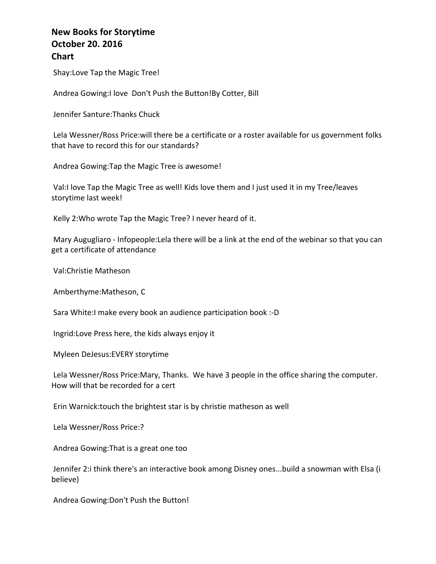Shay: Love Tap the Magic Tree!

Andrea Gowing:I love Don't Push the Button!By Cotter, Bill

Jennifer Santure: Thanks Chuck

Lela Wessner/Ross Price:will there be a certificate or a roster available for us government folks that have to record this for our standards?

Andrea Gowing: Tap the Magic Tree is awesome!

Val:I love Tap the Magic Tree as well! Kids love them and I just used it in my Tree/leaves storytime last week!

Kelly 2: Who wrote Tap the Magic Tree? I never heard of it.

Mary Augugliaro - Infopeople: Lela there will be a link at the end of the webinar so that you can get a certificate of attendance

Val:Christie Matheson 

Amberthyme:Matheson, C

Sara White:I make every book an audience participation book :-D

Ingrid:Love Press here, the kids always enjoy it

Myleen DeJesus:EVERY storytime

Lela Wessner/Ross Price:Mary, Thanks. We have 3 people in the office sharing the computer. How will that be recorded for a cert

Erin Warnick: touch the brightest star is by christie matheson as well

Lela Wessner/Ross Price:?

Andrea Gowing: That is a great one too

Jennifer 2:i think there's an interactive book among Disney ones...build a snowman with Elsa (i believe)

Andrea Gowing: Don't Push the Button!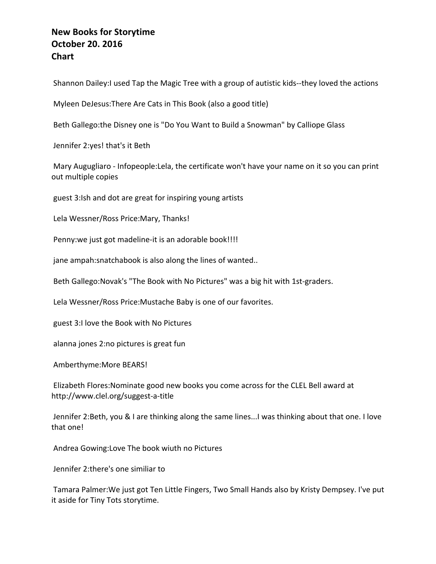Shannon Dailey:I used Tap the Magic Tree with a group of autistic kids--they loved the actions

Myleen DeJesus: There Are Cats in This Book (also a good title)

Beth Gallego:the Disney one is "Do You Want to Build a Snowman" by Calliope Glass

Jennifer 2:yes! that's it Beth

Mary Augugliaro - Infopeople:Lela, the certificate won't have your name on it so you can print out multiple copies

guest 3:Ish and dot are great for inspiring young artists

Lela Wessner/Ross Price:Mary, Thanks!

Penny: we just got madeline-it is an adorable book!!!!

jane ampah: snatchabook is also along the lines of wanted..

Beth Gallego:Novak's "The Book with No Pictures" was a big hit with 1st-graders.

Lela Wessner/Ross Price: Mustache Baby is one of our favorites.

guest 3:I love the Book with No Pictures

alanna jones 2:no pictures is great fun

Amberthyme: More BEARS!

Elizabeth Flores: Nominate good new books you come across for the CLEL Bell award at http://www.clel.org/suggest-a-title

Jennifer 2:Beth, you & I are thinking along the same lines...I was thinking about that one. I love that one!

Andrea Gowing: Love The book wiuth no Pictures

Jennifer 2:there's one similiar to

Tamara Palmer: We just got Ten Little Fingers, Two Small Hands also by Kristy Dempsey. I've put it aside for Tiny Tots storytime.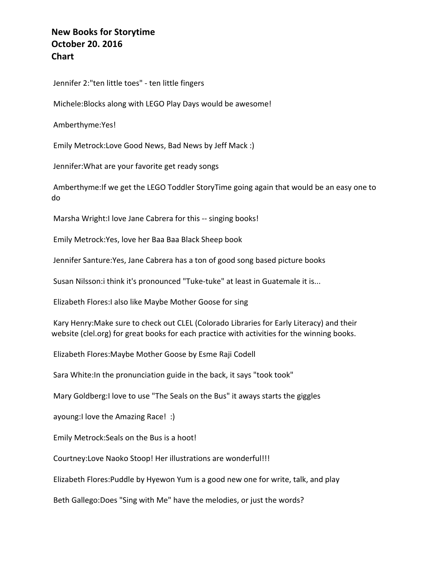Jennifer 2:"ten little toes" - ten little fingers

Michele: Blocks along with LEGO Play Days would be awesome!

Amberthyme:Yes!

Emily Metrock:Love Good News, Bad News by Jeff Mack :)

Jennifer: What are your favorite get ready songs

Amberthyme: If we get the LEGO Toddler StoryTime going again that would be an easy one to do

Marsha Wright:I love Jane Cabrera for this -- singing books!

Emily Metrock: Yes, love her Baa Baa Black Sheep book

Jennifer Santure: Yes, Jane Cabrera has a ton of good song based picture books

Susan Nilsson:i think it's pronounced "Tuke-tuke" at least in Guatemale it is...

Elizabeth Flores: I also like Maybe Mother Goose for sing

Kary Henry: Make sure to check out CLEL (Colorado Libraries for Early Literacy) and their website (clel.org) for great books for each practice with activities for the winning books.

Elizabeth Flores: Maybe Mother Goose by Esme Raji Codell

Sara White: In the pronunciation guide in the back, it says "took took"

Mary Goldberg: I love to use "The Seals on the Bus" it aways starts the giggles

ayoung: I love the Amazing Race! :)

Emily Metrock: Seals on the Bus is a hoot!

Courtney: Love Naoko Stoop! Her illustrations are wonderful!!!

Elizabeth Flores:Puddle by Hyewon Yum is a good new one for write, talk, and play

Beth Gallego:Does "Sing with Me" have the melodies, or just the words?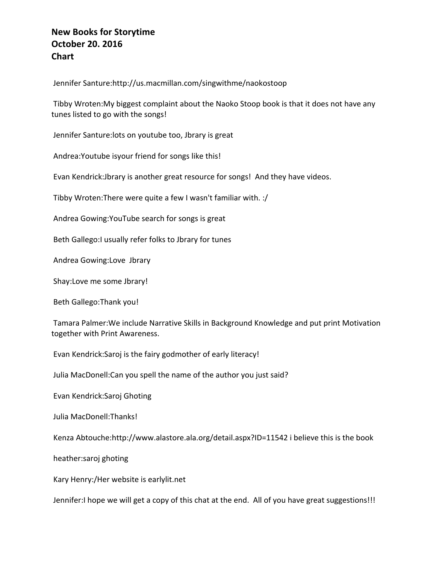Jennifer Santure:http://us.macmillan.com/singwithme/naokostoop

Tibby Wroten:My biggest complaint about the Naoko Stoop book is that it does not have any tunes listed to go with the songs!

Jennifer Santure: lots on youtube too, Jbrary is great

Andrea: Youtube is your friend for songs like this!

Evan Kendrick:Jbrary is another great resource for songs! And they have videos.

Tibby Wroten: There were quite a few I wasn't familiar with. :/

Andrea Gowing: You Tube search for songs is great

Beth Gallego: I usually refer folks to Jbrary for tunes

Andrea Gowing:Love Jbrary

Shay:Love me some Jbrary!

Beth Gallego: Thank you!

Tamara Palmer: We include Narrative Skills in Background Knowledge and put print Motivation together with Print Awareness.

Evan Kendrick:Saroj is the fairy godmother of early literacy!

Julia MacDonell: Can you spell the name of the author you just said?

Evan Kendrick:Saroj Ghoting

Julia MacDonell:Thanks!

Kenza Abtouche:http://www.alastore.ala.org/detail.aspx?ID=11542 i believe this is the book

heather:saroj ghoting

Kary Henry:/Her website is earlylit.net

Jennifer:I hope we will get a copy of this chat at the end. All of you have great suggestions!!!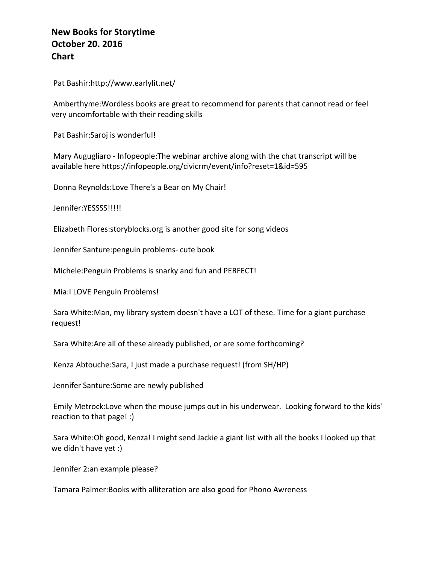Pat Bashir:http://www.earlylit.net/

Amberthyme: Wordless books are great to recommend for parents that cannot read or feel very uncomfortable with their reading skills

Pat Bashir: Saroj is wonderful!

Mary Augugliaro - Infopeople: The webinar archive along with the chat transcript will be available here https://infopeople.org/civicrm/event/info?reset=1&id=595

Donna Reynolds:Love There's a Bear on My Chair!

Jennifer:YESSSS!!!!!

Elizabeth Flores: storyblocks.org is another good site for song videos

Jennifer Santure: penguin problems- cute book

Michele: Penguin Problems is snarky and fun and PERFECT!

Mia:I LOVE Penguin Problems!

Sara White:Man, my library system doesn't have a LOT of these. Time for a giant purchase request!

Sara White:Are all of these already published, or are some forthcoming?

Kenza Abtouche:Sara, I just made a purchase request! (from SH/HP)

Jennifer Santure: Some are newly published

Emily Metrock:Love when the mouse jumps out in his underwear. Looking forward to the kids' reaction to that page! :)

Sara White:Oh good, Kenza! I might send Jackie a giant list with all the books I looked up that we didn't have yet :)

Jennifer 2:an example please?

Tamara Palmer: Books with alliteration are also good for Phono Awreness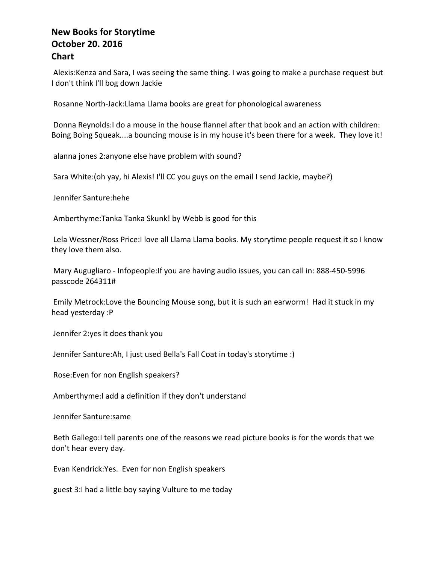Alexis:Kenza and Sara, I was seeing the same thing. I was going to make a purchase request but I don't think I'll bog down Jackie

Rosanne North-Jack:Llama Llama books are great for phonological awareness

Donna Reynolds:I do a mouse in the house flannel after that book and an action with children: Boing Boing Squeak....a bouncing mouse is in my house it's been there for a week. They love it!

alanna jones 2: anyone else have problem with sound?

Sara White:(oh yay, hi Alexis! I'll CC you guys on the email I send Jackie, maybe?)

Jennifer Santure:hehe

Amberthyme:Tanka Tanka Skunk! by Webb is good for this

Lela Wessner/Ross Price:I love all Llama Llama books. My storytime people request it so I know they love them also.

Mary Augugliaro - Infopeople: If you are having audio issues, you can call in: 888-450-5996 passcode 264311#

Emily Metrock: Love the Bouncing Mouse song, but it is such an earworm! Had it stuck in my head yesterday :P

Jennifer 2:yes it does thank you

Jennifer Santure:Ah, I just used Bella's Fall Coat in today's storytime :)

Rose: Even for non English speakers?

Amberthyme: I add a definition if they don't understand

Jennifer Santure: same

Beth Gallego:I tell parents one of the reasons we read picture books is for the words that we don't hear every day.

Evan Kendrick: Yes. Even for non English speakers

guest 3:I had a little boy saying Vulture to me today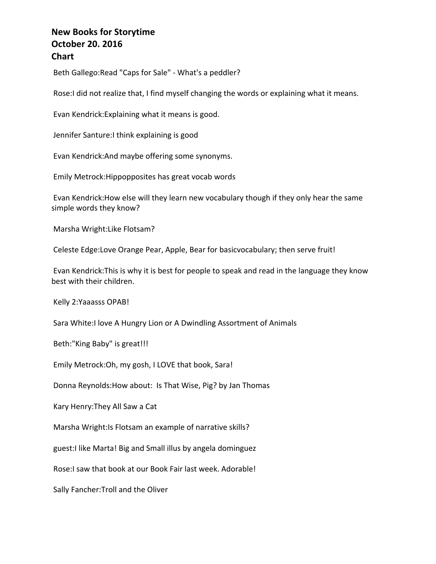Beth Gallego: Read "Caps for Sale" - What's a peddler?

Rose:I did not realize that, I find myself changing the words or explaining what it means.

Evan Kendrick: Explaining what it means is good.

Jennifer Santure: I think explaining is good

Evan Kendrick: And maybe offering some synonyms.

Emily Metrock: Hippopposites has great vocab words

Evan Kendrick: How else will they learn new vocabulary though if they only hear the same simple words they know?

Marsha Wright: Like Flotsam?

Celeste Edge:Love Orange Pear, Apple, Bear for basicvocabulary; then serve fruit!

Evan Kendrick:This is why it is best for people to speak and read in the language they know best with their children.

Kelly 2:Yaaasss OPAB!

Sara White:I love A Hungry Lion or A Dwindling Assortment of Animals

Beth:"King Baby" is great!!!

Emily Metrock: Oh, my gosh, I LOVE that book, Sara!

Donna Reynolds: How about: Is That Wise, Pig? by Jan Thomas

Kary Henry: They All Saw a Cat

Marsha Wright:Is Flotsam an example of narrative skills?

guest:I like Marta! Big and Small illus by angela dominguez

Rose:I saw that book at our Book Fair last week. Adorable!

Sally Fancher: Troll and the Oliver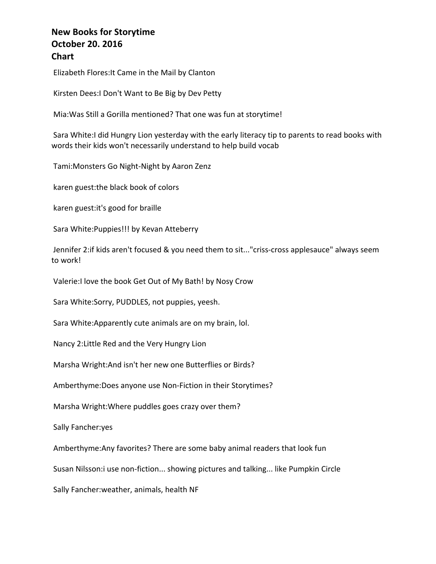Elizabeth Flores: It Came in the Mail by Clanton

Kirsten Dees:I Don't Want to Be Big by Dev Petty

Mia: Was Still a Gorilla mentioned? That one was fun at storytime!

Sara White:I did Hungry Lion yesterday with the early literacy tip to parents to read books with words their kids won't necessarily understand to help build vocab

Tami: Monsters Go Night-Night by Aaron Zenz

karen guest: the black book of colors

karen guest: it's good for braille

Sara White: Puppies!!! by Kevan Atteberry

Jennifer 2:if kids aren't focused & you need them to sit..."criss-cross applesauce" always seem to work!

Valerie:I love the book Get Out of My Bath! by Nosy Crow

Sara White:Sorry, PUDDLES, not puppies, yeesh.

Sara White: Apparently cute animals are on my brain, lol.

Nancy 2: Little Red and the Very Hungry Lion

Marsha Wright: And isn't her new one Butterflies or Birds?

Amberthyme: Does anyone use Non-Fiction in their Storytimes?

Marsha Wright: Where puddles goes crazy over them?

Sally Fancher:yes

Amberthyme: Any favorites? There are some baby animal readers that look fun

Susan Nilsson:i use non-fiction... showing pictures and talking... like Pumpkin Circle

Sally Fancher: weather, animals, health NF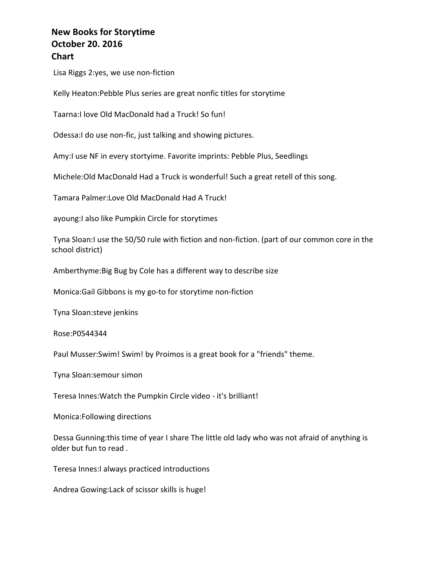Lisa Riggs 2:yes, we use non-fiction

Kelly Heaton: Pebble Plus series are great nonfic titles for storytime

Taarna:I love Old MacDonald had a Truck! So fun!

Odessa:I do use non-fic, just talking and showing pictures.

Amy:I use NF in every stortyime. Favorite imprints: Pebble Plus, Seedlings

Michele: Old MacDonald Had a Truck is wonderful! Such a great retell of this song.

Tamara Palmer: Love Old MacDonald Had A Truck!

ayoung:I also like Pumpkin Circle for storytimes

Tyna Sloan:I use the 50/50 rule with fiction and non-fiction. (part of our common core in the school district)

Amberthyme: Big Bug by Cole has a different way to describe size

Monica:Gail Gibbons is my go-to for storytime non-fiction

Tyna Sloan: steve jenkins

Rose:P0544344

Paul Musser:Swim! Swim! by Proimos is a great book for a "friends" theme.

Tyna Sloan:semour simon

Teresa Innes: Watch the Pumpkin Circle video - it's brilliant!

Monica: Following directions

Dessa Gunning: this time of year I share The little old lady who was not afraid of anything is older but fun to read.

Teresa Innes: I always practiced introductions

Andrea Gowing: Lack of scissor skills is huge!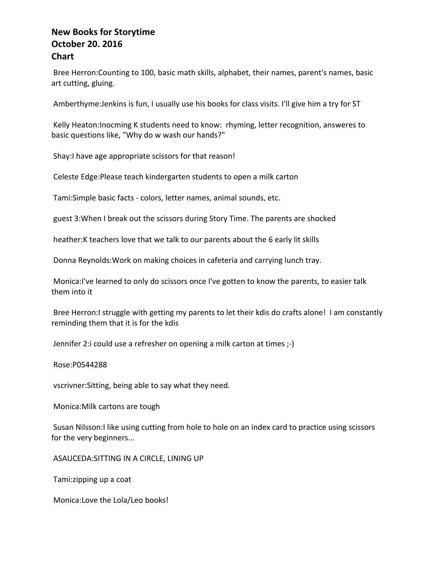Bree Herron: Counting to 100, basic math skills, alphabet, their names, parent's names, basic art cutting, gluing.

Amberthyme: Jenkins is fun, I usually use his books for class visits. I'll give him a try for ST

Kelly Heaton:Inocming K students need to know: rhyming, letter recognition, answeres to basic questions like, "Why do w wash our hands?"

Shay: I have age appropriate scissors for that reason!

Celeste Edge: Please teach kindergarten students to open a milk carton

Tami:Simple basic facts - colors, letter names, animal sounds, etc.

guest 3: When I break out the scissors during Story Time. The parents are shocked

heather:K teachers love that we talk to our parents about the 6 early lit skills

Donna Reynolds: Work on making choices in cafeteria and carrying lunch tray.

Monica:I've learned to only do scissors once I've gotten to know the parents, to easier talk them into it

Bree Herron:I struggle with getting my parents to let their kdis do crafts alone! I am constantly reminding them that it is for the kdis

Jennifer 2: i could use a refresher on opening a milk carton at times ;-)

Rose:P0544288

vscrivner: Sitting, being able to say what they need.

Monica: Milk cartons are tough

Susan Nilsson:I like using cutting from hole to hole on an index card to practice using scissors for the very beginners...

ASAUCEDA: SITTING IN A CIRCLE, LINING UP

Tami:zipping up a coat

Monica:Love the Lola/Leo books!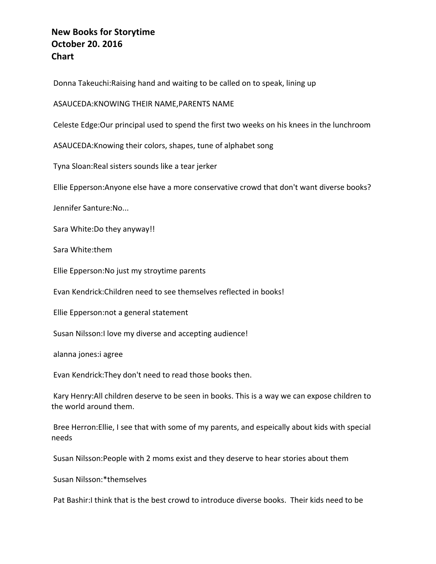Donna Takeuchi:Raising hand and waiting to be called on to speak, lining up

ASAUCEDA: KNOWING THEIR NAME, PARENTS NAME

Celeste Edge: Our principal used to spend the first two weeks on his knees in the lunchroom

ASAUCEDA: Knowing their colors, shapes, tune of alphabet song

Tyna Sloan: Real sisters sounds like a tear jerker

Ellie Epperson: Anyone else have a more conservative crowd that don't want diverse books?

Jennifer Santure:No...

Sara White: Do they anyway!!

Sara White:them

Ellie Epperson: No just my stroytime parents

Evan Kendrick:Children need to see themselves reflected in books!

Ellie Epperson:not a general statement

Susan Nilsson: I love my diverse and accepting audience!

alanna jones: i agree

Evan Kendrick: They don't need to read those books then.

Kary Henry:All children deserve to be seen in books. This is a way we can expose children to the world around them.

Bree Herron: Ellie, I see that with some of my parents, and espeically about kids with special needs

Susan Nilsson:People with 2 moms exist and they deserve to hear stories about them

Susan Nilsson:\*themselves

Pat Bashir:I think that is the best crowd to introduce diverse books. Their kids need to be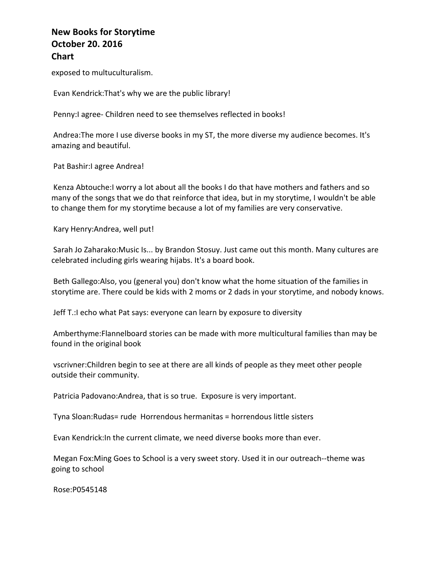exposed to multuculturalism.

Evan Kendrick: That's why we are the public library!

Penny: lagree- Children need to see themselves reflected in books!

Andrea: The more I use diverse books in my ST, the more diverse my audience becomes. It's amazing and beautiful.

Pat Bashir: I agree Andrea!

Kenza Abtouche:I worry a lot about all the books I do that have mothers and fathers and so many of the songs that we do that reinforce that idea, but in my storytime, I wouldn't be able to change them for my storytime because a lot of my families are very conservative.

Kary Henry: Andrea, well put!

Sarah Jo Zaharako:Music Is... by Brandon Stosuy. Just came out this month. Many cultures are celebrated including girls wearing hijabs. It's a board book.

Beth Gallego:Also, you (general you) don't know what the home situation of the families in storytime are. There could be kids with 2 moms or 2 dads in your storytime, and nobody knows.

Jeff T.: l echo what Pat says: everyone can learn by exposure to diversity

Amberthyme:Flannelboard stories can be made with more multicultural families than may be found in the original book

vscrivner: Children begin to see at there are all kinds of people as they meet other people outside their community.

Patricia Padovano: Andrea, that is so true. Exposure is very important.

Tyna Sloan:Rudas= rude Horrendous hermanitas = horrendous little sisters

Evan Kendrick: In the current climate, we need diverse books more than ever.

Megan Fox: Ming Goes to School is a very sweet story. Used it in our outreach--theme was going to school

Rose:P0545148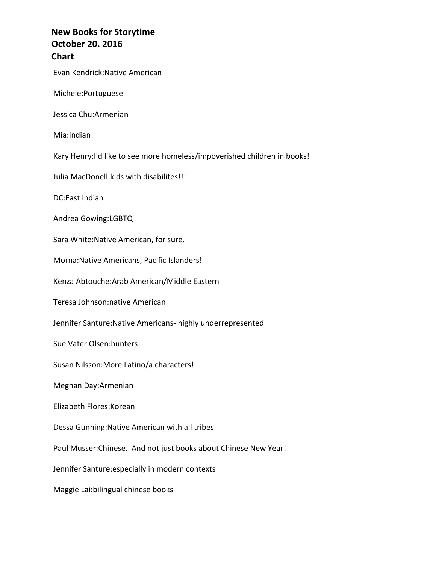Evan Kendrick:Native American

Michele:Portuguese

Jessica Chu:Armenian

Mia:Indian

Kary Henry:I'd like to see more homeless/impoverished children in books!

Julia MacDonell: kids with disabilites!!!

DC:East Indian

Andrea Gowing:LGBTQ

Sara White:Native American, for sure.

Morna: Native Americans, Pacific Islanders!

Kenza Abtouche:Arab American/Middle Eastern

Teresa Johnson:native American

Jennifer Santure: Native Americans- highly underrepresented

Sue Vater Olsen: hunters

Susan Nilsson: More Latino/a characters!

Meghan Day:Armenian

Elizabeth Flores:Korean

Dessa Gunning: Native American with all tribes

Paul Musser: Chinese. And not just books about Chinese New Year!

Jennifer Santure: especially in modern contexts

Maggie Lai:bilingual chinese books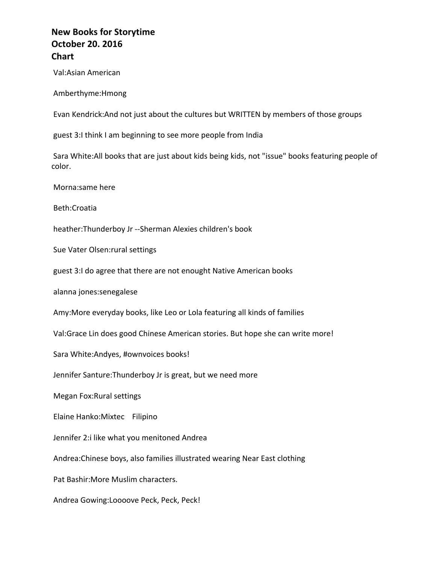Val:Asian American

Amberthyme:Hmong

Evan Kendrick:And not just about the cultures but WRITTEN by members of those groups

guest 3:I think I am beginning to see more people from India

Sara White:All books that are just about kids being kids, not "issue" books featuring people of color.

Morna:same here

Beth:Croatia

heather: Thunderboy Jr -- Sherman Alexies children's book

Sue Vater Olsen: rural settings

guest 3:I do agree that there are not enought Native American books

alanna jones: senegalese

Amy: More everyday books, like Leo or Lola featuring all kinds of families

Val:Grace Lin does good Chinese American stories. But hope she can write more!

Sara White:Andyes, #ownvoices books!

Jennifer Santure: Thunderboy Jr is great, but we need more

Megan Fox: Rural settings

Elaine Hanko: Mixtec Filipino

Jennifer 2:i like what you menitoned Andrea

Andrea: Chinese boys, also families illustrated wearing Near East clothing

Pat Bashir: More Muslim characters.

Andrea Gowing:Loooove Peck, Peck, Peck!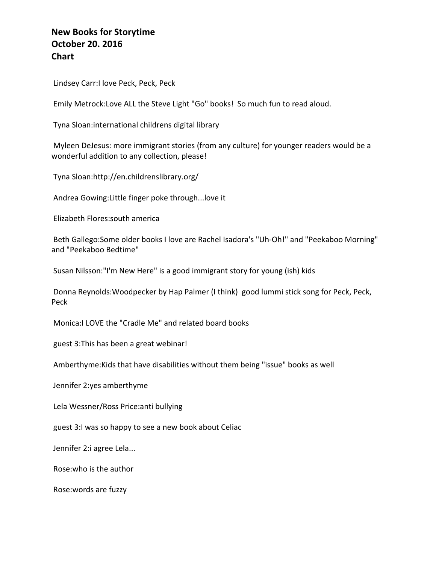Lindsey Carr:I love Peck, Peck, Peck

Emily Metrock:Love ALL the Steve Light "Go" books! So much fun to read aloud.

Tyna Sloan:international childrens digital library

Myleen DeJesus: more immigrant stories (from any culture) for younger readers would be a wonderful addition to any collection, please!

Tyna Sloan:http://en.childrenslibrary.org/

Andrea Gowing: Little finger poke through... love it

Elizabeth Flores:south america

Beth Gallego: Some older books I love are Rachel Isadora's "Uh-Oh!" and "Peekaboo Morning" and "Peekaboo Bedtime"

Susan Nilsson:"I'm New Here" is a good immigrant story for young (ish) kids

Donna Reynolds:Woodpecker by Hap Palmer (I think) good lummi stick song for Peck, Peck, Peck

Monica: I LOVE the "Cradle Me" and related board books

guest 3:This has been a great webinar!

Amberthyme: Kids that have disabilities without them being "issue" books as well

Jennifer 2:yes amberthyme

Lela Wessner/Ross Price: anti bullying

guest 3:I was so happy to see a new book about Celiac

Jennifer 2:i agree Lela...

Rose: who is the author

Rose: words are fuzzy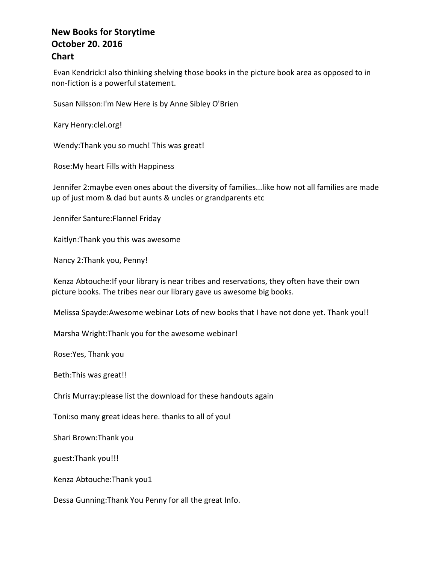Evan Kendrick:I also thinking shelving those books in the picture book area as opposed to in non-fiction is a powerful statement.

Susan Nilsson:I'm New Here is by Anne Sibley O'Brien

Kary Henry: clel.org!

Wendy: Thank you so much! This was great!

Rose: My heart Fills with Happiness

Jennifer 2:maybe even ones about the diversity of families...like how not all families are made up of just mom & dad but aunts & uncles or grandparents etc

Jennifer Santure: Flannel Friday

Kaitlyn: Thank you this was awesome

Nancy 2:Thank you, Penny!

Kenza Abtouche: If your library is near tribes and reservations, they often have their own picture books. The tribes near our library gave us awesome big books.

Melissa Spayde:Awesome webinar Lots of new books that I have not done yet. Thank you!!

Marsha Wright: Thank you for the awesome webinar!

Rose: Yes, Thank you

Beth: This was great!!

Chris Murray: please list the download for these handouts again

Toni:so many great ideas here. thanks to all of you!

Shari Brown: Thank you

guest: Thank you!!!

Kenza Abtouche:Thank you1

Dessa Gunning: Thank You Penny for all the great Info.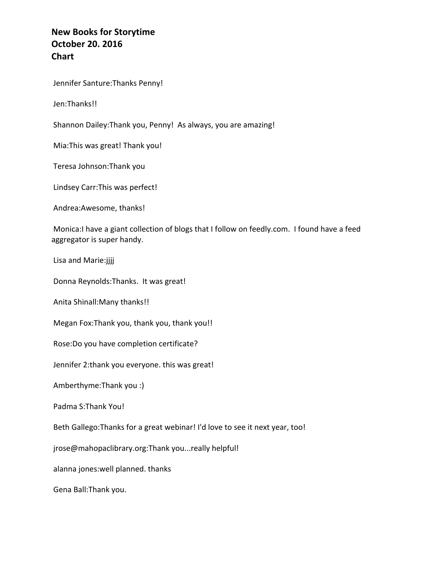Jennifer Santure: Thanks Penny!

Jen:Thanks!!

Shannon Dailey: Thank you, Penny! As always, you are amazing!

Mia: This was great! Thank you!

Teresa Johnson:Thank you

Lindsey Carr: This was perfect!

Andrea: Awesome, thanks!

Monica:I have a giant collection of blogs that I follow on feedly.com. I found have a feed aggregator is super handy.

Lisa and Marie:jjjj

Donna Reynolds: Thanks. It was great!

Anita Shinall: Many thanks!!

Megan Fox: Thank you, thank you, thank you!!

Rose: Do you have completion certificate?

Jennifer 2:thank you everyone. this was great!

Amberthyme: Thank you :)

Padma S: Thank You!

Beth Gallego: Thanks for a great webinar! I'd love to see it next year, too!

jrose@mahopaclibrary.org:Thank you...really helpful!

alanna jones: well planned. thanks

Gena Ball: Thank you.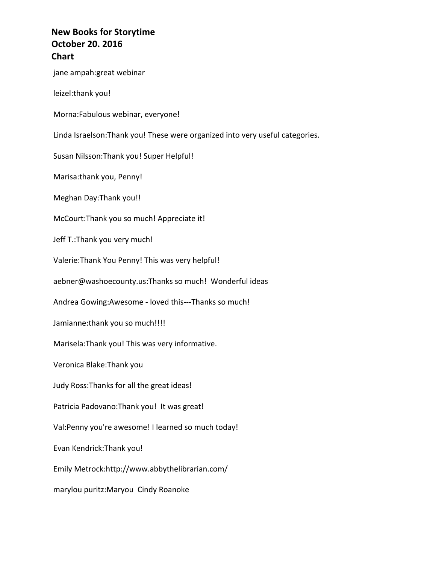jane ampah: great webinar leizel:thank you! Morna:Fabulous webinar, everyone! Linda Israelson: Thank you! These were organized into very useful categories. Susan Nilsson: Thank you! Super Helpful! Marisa: thank you, Penny! Meghan Day: Thank you!! McCourt: Thank you so much! Appreciate it! Jeff T.:Thank you very much! Valerie: Thank You Penny! This was very helpful! aebner@washoecounty.us:Thanks so much! Wonderful ideas Andrea Gowing:Awesome - loved this---Thanks so much! Jamianne: thank you so much!!!! Marisela: Thank you! This was very informative. Veronica Blake:Thank you Judy Ross: Thanks for all the great ideas! Patricia Padovano: Thank you! It was great! Val:Penny you're awesome! I learned so much today! Evan Kendrick:Thank you! Emily Metrock:http://www.abbythelibrarian.com/ marylou puritz: Maryou Cindy Roanoke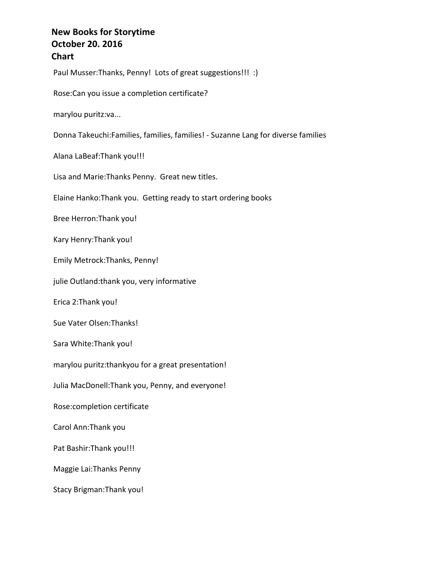Paul Musser:Thanks, Penny! Lots of great suggestions!!! :)

Rose: Can you issue a completion certificate?

marylou puritz:va...

Donna Takeuchi:Families, families, families! - Suzanne Lang for diverse families

Alana LaBeaf: Thank you!!!

Lisa and Marie: Thanks Penny. Great new titles.

Elaine Hanko: Thank you. Getting ready to start ordering books

Bree Herron: Thank you!

Kary Henry: Thank you!

Emily Metrock: Thanks, Penny!

julie Outland:thank you, very informative

Erica 2:Thank you!

Sue Vater Olsen: Thanks!

Sara White: Thank you!

marylou puritz:thankyou for a great presentation!

Julia MacDonell: Thank you, Penny, and everyone!

Rose: completion certificate

Carol Ann: Thank you

Pat Bashir: Thank you!!!

Maggie Lai:Thanks Penny

Stacy Brigman: Thank you!